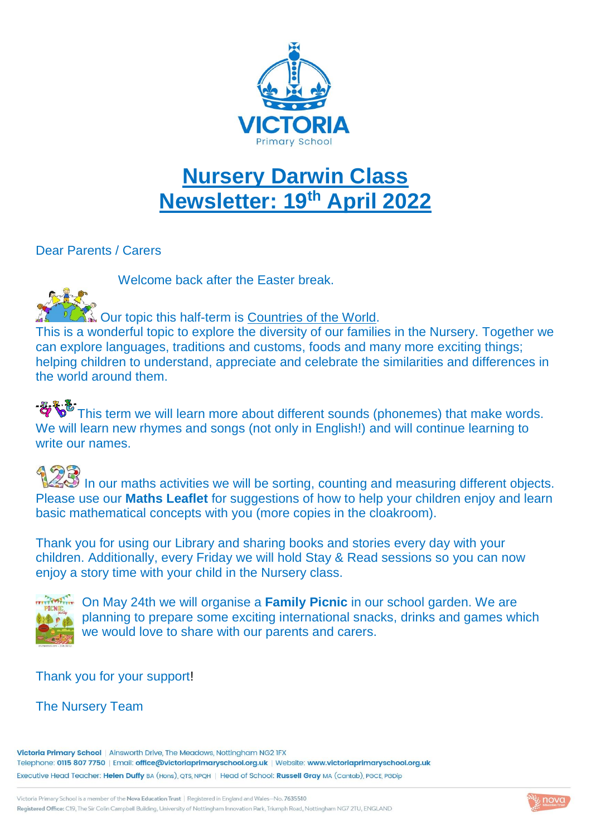

## **Nursery Darwin Class Newsletter: 19th April 2022**

### Dear Parents / Carers

Welcome back after the Easter break.



 $\mathbb{R}$  Our topic this half-term is Countries of the World.

This is a wonderful topic to explore the diversity of our families in the Nursery. Together we can explore languages, traditions and customs, foods and many more exciting things; helping children to understand, appreciate and celebrate the similarities and differences in the world around them.

This term we will learn more about different sounds (phonemes) that make words. We will learn new rhymes and songs (not only in English!) and will continue learning to write our names.

INSS In our maths activities we will be sorting, counting and measuring different objects. Please use our **Maths Leaflet** for suggestions of how to help your children enjoy and learn basic mathematical concepts with you (more copies in the cloakroom).

Thank you for using our Library and sharing books and stories every day with your children. Additionally, every Friday we will hold Stay & Read sessions so you can now enjoy a story time with your child in the Nursery class.



**THE STANCE ON MAY 24th we will organise a Family Picnic** in our school garden. We are planning to prepare some exciting international snacks, drinks and games which we would love to share with our parents and carers.

### Thank you for your support!

### The Nursery Team

Victoria Primary School | Ainsworth Drive, The Meadows, Nottingham NG2 IFX Telephone: 0115 807 7750 | Email: office@victoriaprimaryschool.org.uk | Website: www.victoriaprimaryschool.org.uk Executive Head Teacher: Helen Duffy BA (Hons), QTS, NPQH | Head of School: Russell Gray MA (Cantab), PGCE, PGDip